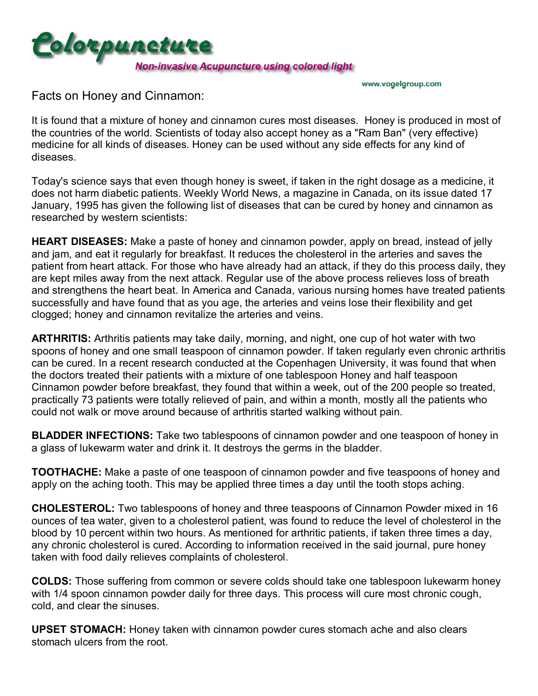

www.vogelgroup.com

Facts on Honey and Cinnamon:

It is found that a mixture of honey and cinnamon cures most diseases. Honey is produced in most of the countries of the world. Scientists of today also accept honey as a "Ram Ban" (very effective) medicine for all kinds of diseases. Honey can be used without any side effects for any kind of diseases.

Today's science says that even though honey is sweet, if taken in the right dosage as a medicine, it does not harm diabetic patients. Weekly World News, a magazine in Canada, on its issue dated 17 January, 1995 has given the following list of diseases that can be cured by honey and cinnamon as researched by western scientists:

**HEART DISEASES:** Make a paste of honey and cinnamon powder, apply on bread, instead of jelly and jam, and eat it regularly for breakfast. It reduces the cholesterol in the arteries and saves the patient from heart attack. For those who have already had an attack, if they do this process daily, they are kept miles away from the next attack. Regular use of the above process relieves loss of breath and strengthens the heart beat. In America and Canada, various nursing homes have treated patients successfully and have found that as you age, the arteries and veins lose their flexibility and get clogged; honey and cinnamon revitalize the arteries and veins.

**ARTHRITIS:** Arthritis patients may take daily, morning, and night, one cup of hot water with two spoons of honey and one small teaspoon of cinnamon powder. If taken regularly even chronic arthritis can be cured. In a recent research conducted at the Copenhagen University, it was found that when the doctors treated their patients with a mixture of one tablespoon Honey and half teaspoon Cinnamon powder before breakfast, they found that within a week, out of the 200 people so treated, practically 73 patients were totally relieved of pain, and within a month, mostly all the patients who could not walk or move around because of arthritis started walking without pain.

**BLADDER INFECTIONS:** Take two tablespoons of cinnamon powder and one teaspoon of honey in a glass of lukewarm water and drink it. It destroys the germs in the bladder.

**TOOTHACHE:** Make a paste of one teaspoon of cinnamon powder and five teaspoons of honey and apply on the aching tooth. This may be applied three times a day until the tooth stops aching.

**CHOLESTEROL:** Two tablespoons of honey and three teaspoons of Cinnamon Powder mixed in 16 ounces of tea water, given to a cholesterol patient, was found to reduce the level of cholesterol in the blood by 10 percent within two hours. As mentioned for arthritic patients, if taken three times a day, any chronic cholesterol is cured. According to information received in the said journal, pure honey taken with food daily relieves complaints of cholesterol.

**COLDS:** Those suffering from common or severe colds should take one tablespoon lukewarm honey with 1/4 spoon cinnamon powder daily for three days. This process will cure most chronic cough, cold, and clear the sinuses.

**UPSET STOMACH:** Honey taken with cinnamon powder cures stomach ache and also clears stomach ulcers from the root.